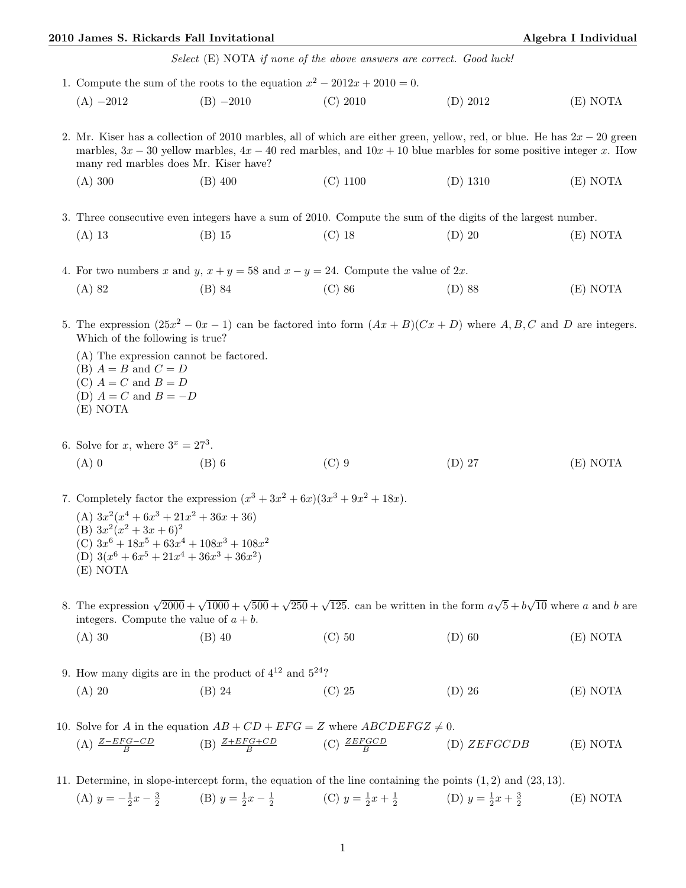## 2010 James S. Rickards Fall Invitational and Algebra I Individual Algebra I Individual

Select (E) NOTA if none of the above answers are correct. Good luck!

|                                      | 1. Compute the sum of the roots to the equation $x^2 - 2012x + 2010 = 0$ .                                                                                                                                                                                                                     |                                                     |            |             |          |  |  |  |
|--------------------------------------|------------------------------------------------------------------------------------------------------------------------------------------------------------------------------------------------------------------------------------------------------------------------------------------------|-----------------------------------------------------|------------|-------------|----------|--|--|--|
|                                      | $(A) -2012$                                                                                                                                                                                                                                                                                    | $(B) -2010$                                         | $(C)$ 2010 | (D) 2012    | (E) NOTA |  |  |  |
|                                      | 2. Mr. Kiser has a collection of 2010 marbles, all of which are either green, yellow, red, or blue. He has $2x - 20$ green<br>marbles, $3x - 30$ yellow marbles, $4x - 40$ red marbles, and $10x + 10$ blue marbles for some positive integer x. How<br>many red marbles does Mr. Kiser have?  |                                                     |            |             |          |  |  |  |
|                                      | (A) 300                                                                                                                                                                                                                                                                                        | $(B)$ 400                                           | $(C)$ 1100 | $(D)$ 1310  | (E) NOTA |  |  |  |
|                                      | 3. Three consecutive even integers have a sum of 2010. Compute the sum of the digits of the largest number.                                                                                                                                                                                    |                                                     |            |             |          |  |  |  |
|                                      | $(A)$ 13                                                                                                                                                                                                                                                                                       | $(B)$ 15                                            | $(C)$ 18   | $(D)$ 20    | (E) NOTA |  |  |  |
|                                      | 4. For two numbers x and y, $x + y = 58$ and $x - y = 24$ . Compute the value of 2x.                                                                                                                                                                                                           |                                                     |            |             |          |  |  |  |
|                                      | $(A)$ 82                                                                                                                                                                                                                                                                                       | $(B)$ 84                                            | $(C)$ 86   | $(D)$ 88    | (E) NOTA |  |  |  |
|                                      | 5. The expression $(25x^2 - 0x - 1)$ can be factored into form $(Ax + B)(Cx + D)$ where A, B, C and D are integers.<br>Which of the following is true?<br>(A) The expression cannot be factored.<br>(B) $A = B$ and $C = D$<br>(C) $A = C$ and $B = D$<br>(D) $A = C$ and $B = -D$<br>(E) NOTA |                                                     |            |             |          |  |  |  |
| 6. Solve for x, where $3^x = 27^3$ . |                                                                                                                                                                                                                                                                                                |                                                     |            |             |          |  |  |  |
|                                      | $(A)$ 0                                                                                                                                                                                                                                                                                        | $(B)$ 6                                             | $(C)$ 9    | $(D)$ 27    | (E) NOTA |  |  |  |
|                                      | 7. Completely factor the expression $(x^3 + 3x^2 + 6x)(3x^3 + 9x^2 + 18x)$ .                                                                                                                                                                                                                   |                                                     |            |             |          |  |  |  |
|                                      | (A) $3x^2(x^4+6x^3+21x^2+36x+36)$<br>(B) $3x^2(x^2+3x+6)^2$<br>(C) $3x^6 + 18x^5 + 63x^4 + 108x^3 + 108x^2$<br>(D) $3(x^6 + 6x^5 + 21x^4 + 36x^3 + 36x^2)$<br>(E) NOTA                                                                                                                         |                                                     |            |             |          |  |  |  |
|                                      | 8. The expression $\sqrt{2000} + \sqrt{1000} + \sqrt{500} + \sqrt{250} + \sqrt{125}$ can be written in the form $a\sqrt{5} + b\sqrt{10}$ where a and b are<br>integers. Compute the value of $a + b$ .                                                                                         |                                                     |            |             |          |  |  |  |
|                                      | $(A)$ 30                                                                                                                                                                                                                                                                                       | $(B)$ 40                                            | $(C)$ 50   | $(D)$ 60    | (E) NOTA |  |  |  |
|                                      | 9. How many digits are in the product of $4^{12}$ and $5^{24}$ ?                                                                                                                                                                                                                               |                                                     |            |             |          |  |  |  |
|                                      | $(A)$ 20                                                                                                                                                                                                                                                                                       | $(B)$ 24                                            | $(C)$ 25   | $(D)$ 26    | (E) NOTA |  |  |  |
|                                      | 10. Solve for A in the equation $AB + CD + EFG = Z$ where $ABCDEFGZ \neq 0$ .                                                                                                                                                                                                                  |                                                     |            |             |          |  |  |  |
|                                      | (A) $\frac{Z-EFG-CD}{B}$                                                                                                                                                                                                                                                                       | (B) $\frac{Z + EFG + CD}{B}$ (C) $\frac{ZEFGCD}{B}$ |            | (D) ZEFGCDB | (E) NOTA |  |  |  |

11. Determine, in slope-intercept form, the equation of the line containing the points (1, 2) and (23, 13). (A)  $y = -\frac{1}{2}x - \frac{3}{2}$  (B)  $y = \frac{1}{2}x - \frac{1}{2}$  (C)  $y = \frac{1}{2}x + \frac{1}{2}$  (D)  $y = \frac{1}{2}x + \frac{3}{2}$ (E) NOTA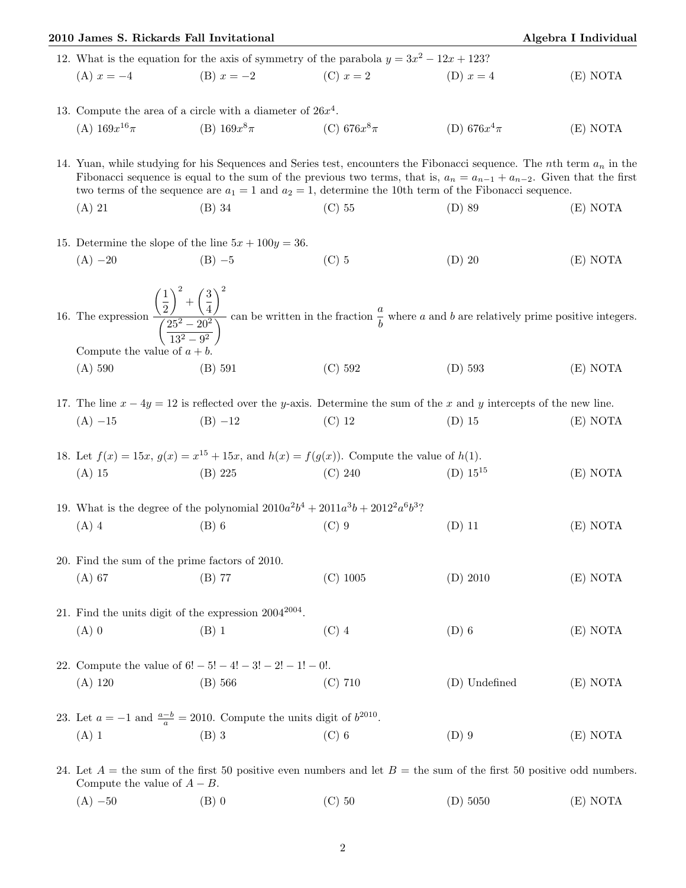|                                                                                            | 2010 James S. Rickards Fall Invitational                                                                                                                                                                                                                                                                                                                              |                                                                                                                         |                 |                  | Algebra I Individual |  |  |  |  |
|--------------------------------------------------------------------------------------------|-----------------------------------------------------------------------------------------------------------------------------------------------------------------------------------------------------------------------------------------------------------------------------------------------------------------------------------------------------------------------|-------------------------------------------------------------------------------------------------------------------------|-----------------|------------------|----------------------|--|--|--|--|
| 12. What is the equation for the axis of symmetry of the parabola $y = 3x^2 - 12x + 123$ ? |                                                                                                                                                                                                                                                                                                                                                                       |                                                                                                                         |                 |                  |                      |  |  |  |  |
|                                                                                            |                                                                                                                                                                                                                                                                                                                                                                       | (A) $x = -4$ (B) $x = -2$ (C) $x = 2$                                                                                   |                 | (D) $x = 4$      | (E) NOTA             |  |  |  |  |
|                                                                                            | 13. Compute the area of a circle with a diameter of $26x^4$ .                                                                                                                                                                                                                                                                                                         |                                                                                                                         |                 |                  |                      |  |  |  |  |
|                                                                                            | (A) $169x^{16}\pi$                                                                                                                                                                                                                                                                                                                                                    | (B) $169x^8\pi$                                                                                                         | (C) $676x^8\pi$ | (D) 676 $x^4\pi$ | (E) NOTA             |  |  |  |  |
|                                                                                            | 14. Yuan, while studying for his Sequences and Series test, encounters the Fibonacci sequence. The nth term $a_n$ in the<br>Fibonacci sequence is equal to the sum of the previous two terms, that is, $a_n = a_{n-1} + a_{n-2}$ . Given that the first<br>two terms of the sequence are $a_1 = 1$ and $a_2 = 1$ , determine the 10th term of the Fibonacci sequence. |                                                                                                                         |                 |                  |                      |  |  |  |  |
|                                                                                            | $(A)$ 21                                                                                                                                                                                                                                                                                                                                                              | $(B)$ 34                                                                                                                | $(C)$ 55        | $(D)$ 89         | (E) NOTA             |  |  |  |  |
|                                                                                            |                                                                                                                                                                                                                                                                                                                                                                       | 15. Determine the slope of the line $5x + 100y = 36$ .                                                                  |                 |                  |                      |  |  |  |  |
|                                                                                            | $(A) -20$                                                                                                                                                                                                                                                                                                                                                             | $(B) -5$                                                                                                                | $(C)$ 5         | $(D)$ 20         | (E) NOTA             |  |  |  |  |
|                                                                                            | 16. The expression $\frac{\left(\frac{1}{2}\right)^2 + \left(\frac{3}{4}\right)^2}{\left(\frac{25^2 - 20^2}{12^2 - 0^2}\right)}$ can be written in the fraction $\frac{a}{b}$ where a and b are relatively prime positive integers.                                                                                                                                   |                                                                                                                         |                 |                  |                      |  |  |  |  |
|                                                                                            | Compute the value of $a + b$ .<br>(A) 590                                                                                                                                                                                                                                                                                                                             | $(B)$ 591                                                                                                               | (C) 592         | $(D)$ 593        | (E) NOTA             |  |  |  |  |
|                                                                                            |                                                                                                                                                                                                                                                                                                                                                                       | 17. The line $x - 4y = 12$ is reflected over the y-axis. Determine the sum of the x and y intercepts of the new line.   |                 |                  |                      |  |  |  |  |
|                                                                                            | $(A) -15$                                                                                                                                                                                                                                                                                                                                                             | $(B) -12$                                                                                                               | $(C)$ 12        | $(D)$ 15         | (E) NOTA             |  |  |  |  |
|                                                                                            |                                                                                                                                                                                                                                                                                                                                                                       | 18. Let $f(x) = 15x$ , $g(x) = x^{15} + 15x$ , and $h(x) = f(g(x))$ . Compute the value of $h(1)$ .                     |                 |                  |                      |  |  |  |  |
|                                                                                            | $(A)$ 15                                                                                                                                                                                                                                                                                                                                                              | (B) 225                                                                                                                 | (C) 240         | (D) $15^{15}$    | (E) NOTA             |  |  |  |  |
|                                                                                            | 19. What is the degree of the polynomial $2010a^2b^4 + 2011a^3b + 2012^2a^6b^3$ ?                                                                                                                                                                                                                                                                                     |                                                                                                                         |                 |                  |                      |  |  |  |  |
|                                                                                            | $(A)$ 4                                                                                                                                                                                                                                                                                                                                                               | $(B)$ 6                                                                                                                 | $(C)$ 9         | $(D)$ 11         | (E) NOTA             |  |  |  |  |
|                                                                                            | 20. Find the sum of the prime factors of 2010.                                                                                                                                                                                                                                                                                                                        |                                                                                                                         |                 |                  |                      |  |  |  |  |
|                                                                                            | $(A)$ 67                                                                                                                                                                                                                                                                                                                                                              | $(B)$ 77                                                                                                                | $(C)$ 1005      | $(D)$ 2010       | (E) NOTA             |  |  |  |  |
|                                                                                            | 21. Find the units digit of the expression $2004^{2004}$ .                                                                                                                                                                                                                                                                                                            |                                                                                                                         |                 |                  |                      |  |  |  |  |
|                                                                                            | $(A)$ 0                                                                                                                                                                                                                                                                                                                                                               | (B) 1                                                                                                                   | $(C)$ 4         | $(D)$ 6          | (E) NOTA             |  |  |  |  |
|                                                                                            | 22. Compute the value of $6! - 5! - 4! - 3! - 2! - 1! - 0!$ .                                                                                                                                                                                                                                                                                                         |                                                                                                                         |                 |                  |                      |  |  |  |  |
|                                                                                            | (A) 120                                                                                                                                                                                                                                                                                                                                                               | (B) 566                                                                                                                 | $(C)$ 710       | (D) Undefined    | (E) NOTA             |  |  |  |  |
|                                                                                            |                                                                                                                                                                                                                                                                                                                                                                       | 23. Let $a = -1$ and $\frac{a-b}{a} = 2010$ . Compute the units digit of $b^{2010}$ .                                   |                 |                  |                      |  |  |  |  |
|                                                                                            | $(A)$ 1                                                                                                                                                                                                                                                                                                                                                               | $(B)$ 3                                                                                                                 | $(C)$ 6         | $(D)$ 9          | (E) NOTA             |  |  |  |  |
|                                                                                            | Compute the value of $A - B$ .                                                                                                                                                                                                                                                                                                                                        | 24. Let $A =$ the sum of the first 50 positive even numbers and let $B =$ the sum of the first 50 positive odd numbers. |                 |                  |                      |  |  |  |  |

(A) −50 (B) 0 (C) 50 (D) 5050 (E) NOTA